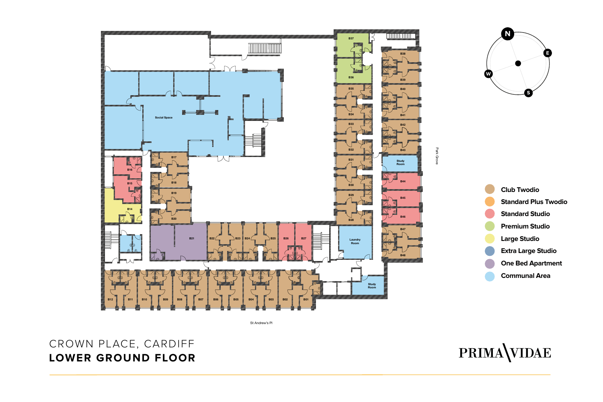

St Andrew's Pl

## CROWN PLACE, CARDIFF **LOWER GROUND FLOOR**

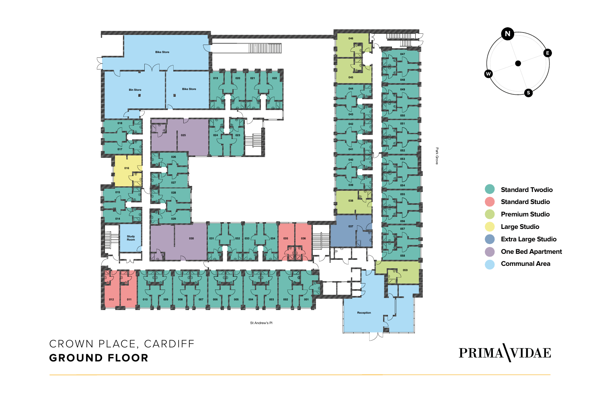



**N**

**W**

**E**

**S**

## PRIMA VIDAE

## CROWN PLACE, CARDIFF **GROUND FLOOR**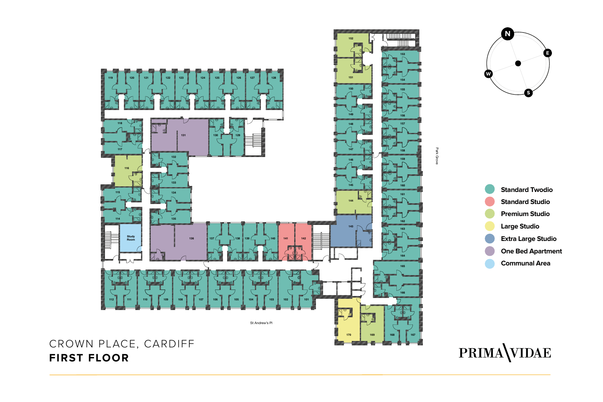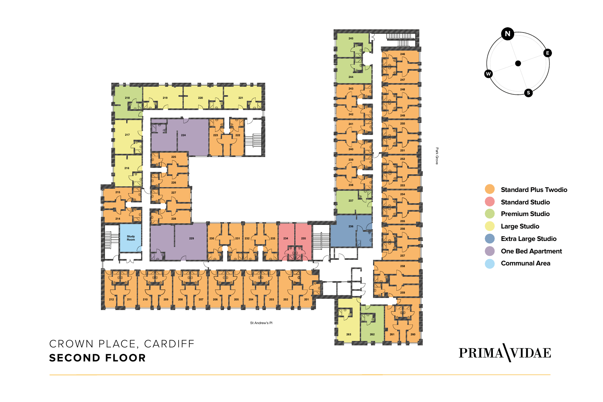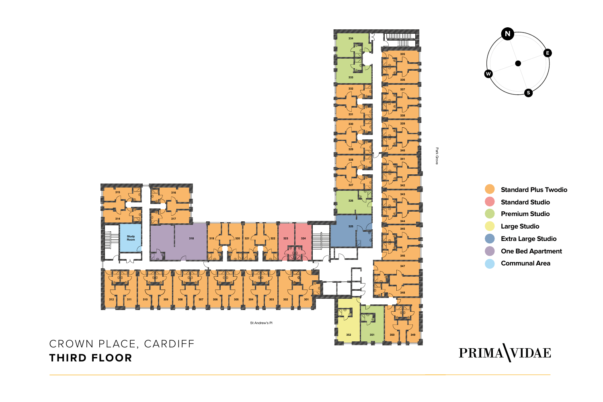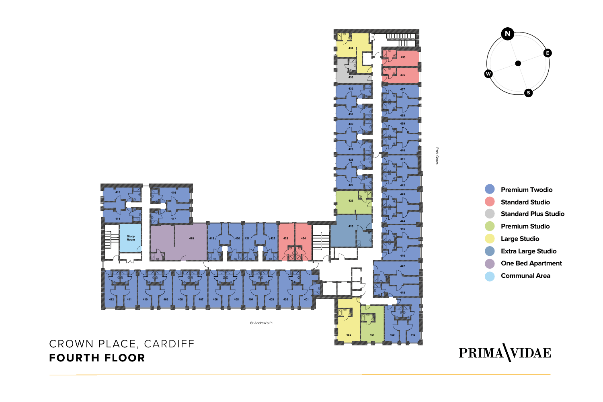